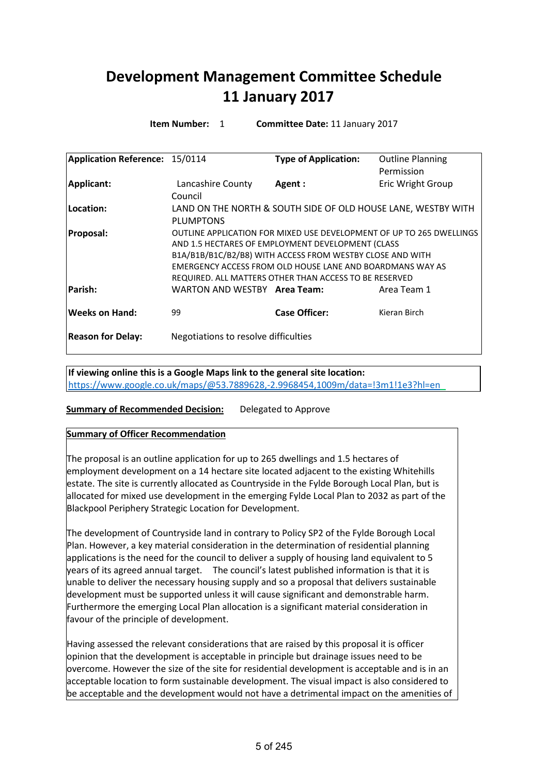# **Development Management Committee Schedule 11 January 2017**

**Item Number:** 1 **Committee Date:** 11 January 2017

| Application Reference: 15/0114 |                                                        | <b>Type of Application:</b>                                   | <b>Outline Planning</b>                                              |  |
|--------------------------------|--------------------------------------------------------|---------------------------------------------------------------|----------------------------------------------------------------------|--|
|                                |                                                        |                                                               | Permission                                                           |  |
| Applicant:                     | Lancashire County                                      | Agent:                                                        | Eric Wright Group                                                    |  |
|                                | Council                                                |                                                               |                                                                      |  |
| Location:                      |                                                        | LAND ON THE NORTH & SOUTH SIDE OF OLD HOUSE LANE, WESTBY WITH |                                                                      |  |
|                                | <b>PLUMPTONS</b>                                       |                                                               |                                                                      |  |
| Proposal:                      |                                                        |                                                               | OUTLINE APPLICATION FOR MIXED USE DEVELOPMENT OF UP TO 265 DWELLINGS |  |
|                                |                                                        | AND 1.5 HECTARES OF EMPLOYMENT DEVELOPMENT (CLASS             |                                                                      |  |
|                                |                                                        | B1A/B1B/B1C/B2/B8) WITH ACCESS FROM WESTBY CLOSE AND WITH     |                                                                      |  |
|                                |                                                        | EMERGENCY ACCESS FROM OLD HOUSE LANE AND BOARDMANS WAY AS     |                                                                      |  |
|                                | REQUIRED. ALL MATTERS OTHER THAN ACCESS TO BE RESERVED |                                                               |                                                                      |  |
| Parish:                        | WARTON AND WESTBY Area Team:                           |                                                               | Area Team 1                                                          |  |
| <b>Weeks on Hand:</b>          | 99                                                     | Case Officer:                                                 | Kieran Birch                                                         |  |
| <b>Reason for Delay:</b>       | Negotiations to resolve difficulties                   |                                                               |                                                                      |  |

**If viewing online this is a Google Maps link to the general site location:** <https://www.google.co.uk/maps/@53.7889628,-2.9968454,1009m/data=!3m1!1e3?hl=en>

# **Summary of Recommended Decision:** Delegated to Approve

# **Summary of Officer Recommendation**

The proposal is an outline application for up to 265 dwellings and 1.5 hectares of employment development on a 14 hectare site located adjacent to the existing Whitehills estate. The site is currently allocated as Countryside in the Fylde Borough Local Plan, but is allocated for mixed use development in the emerging Fylde Local Plan to 2032 as part of the Blackpool Periphery Strategic Location for Development.

The development of Countryside land in contrary to Policy SP2 of the Fylde Borough Local Plan. However, a key material consideration in the determination of residential planning applications is the need for the council to deliver a supply of housing land equivalent to 5 years of its agreed annual target. The council's latest published information is that it is unable to deliver the necessary housing supply and so a proposal that delivers sustainable development must be supported unless it will cause significant and demonstrable harm. Furthermore the emerging Local Plan allocation is a significant material consideration in favour of the principle of development.

Having assessed the relevant considerations that are raised by this proposal it is officer opinion that the development is acceptable in principle but drainage issues need to be overcome. However the size of the site for residential development is acceptable and is in an acceptable location to form sustainable development. The visual impact is also considered to be acceptable and the development would not have a detrimental impact on the amenities of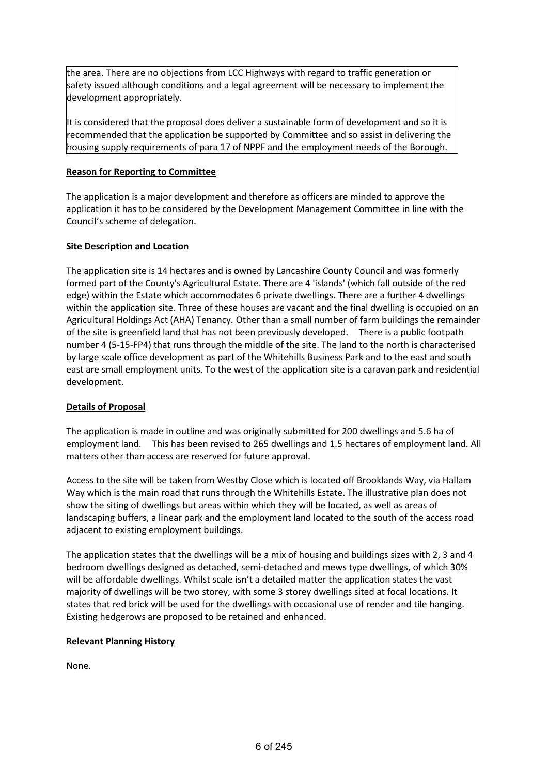the area. There are no objections from LCC Highways with regard to traffic generation or safety issued although conditions and a legal agreement will be necessary to implement the development appropriately.

It is considered that the proposal does deliver a sustainable form of development and so it is recommended that the application be supported by Committee and so assist in delivering the housing supply requirements of para 17 of NPPF and the employment needs of the Borough.

# **Reason for Reporting to Committee**

The application is a major development and therefore as officers are minded to approve the application it has to be considered by the Development Management Committee in line with the Council's scheme of delegation.

# **Site Description and Location**

The application site is 14 hectares and is owned by Lancashire County Council and was formerly formed part of the County's Agricultural Estate. There are 4 'islands' (which fall outside of the red edge) within the Estate which accommodates 6 private dwellings. There are a further 4 dwellings within the application site. Three of these houses are vacant and the final dwelling is occupied on an Agricultural Holdings Act (AHA) Tenancy. Other than a small number of farm buildings the remainder of the site is greenfield land that has not been previously developed. There is a public footpath number 4 (5-15-FP4) that runs through the middle of the site. The land to the north is characterised by large scale office development as part of the Whitehills Business Park and to the east and south east are small employment units. To the west of the application site is a caravan park and residential development.

# **Details of Proposal**

The application is made in outline and was originally submitted for 200 dwellings and 5.6 ha of employment land. This has been revised to 265 dwellings and 1.5 hectares of employment land. All matters other than access are reserved for future approval.

Access to the site will be taken from Westby Close which is located off Brooklands Way, via Hallam Way which is the main road that runs through the Whitehills Estate. The illustrative plan does not show the siting of dwellings but areas within which they will be located, as well as areas of landscaping buffers, a linear park and the employment land located to the south of the access road adjacent to existing employment buildings.

The application states that the dwellings will be a mix of housing and buildings sizes with 2, 3 and 4 bedroom dwellings designed as detached, semi-detached and mews type dwellings, of which 30% will be affordable dwellings. Whilst scale isn't a detailed matter the application states the vast majority of dwellings will be two storey, with some 3 storey dwellings sited at focal locations. It states that red brick will be used for the dwellings with occasional use of render and tile hanging. Existing hedgerows are proposed to be retained and enhanced.

# **Relevant Planning History**

None.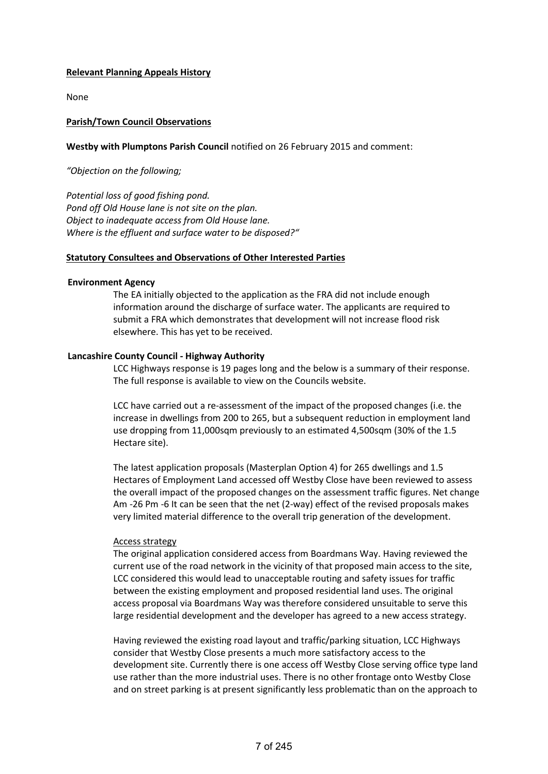## **Relevant Planning Appeals History**

None

## **Parish/Town Council Observations**

## **Westby with Plumptons Parish Council** notified on 26 February 2015 and comment:

*"Objection on the following;*

*Potential loss of good fishing pond. Pond off Old House lane is not site on the plan. Object to inadequate access from Old House lane. Where is the effluent and surface water to be disposed?"*

## **Statutory Consultees and Observations of Other Interested Parties**

## **Environment Agency**

The EA initially objected to the application as the FRA did not include enough information around the discharge of surface water. The applicants are required to submit a FRA which demonstrates that development will not increase flood risk elsewhere. This has yet to be received.

## **Lancashire County Council - Highway Authority**

LCC Highways response is 19 pages long and the below is a summary of their response. The full response is available to view on the Councils website.

LCC have carried out a re-assessment of the impact of the proposed changes (i.e. the increase in dwellings from 200 to 265, but a subsequent reduction in employment land use dropping from 11,000sqm previously to an estimated 4,500sqm (30% of the 1.5 Hectare site).

The latest application proposals (Masterplan Option 4) for 265 dwellings and 1.5 Hectares of Employment Land accessed off Westby Close have been reviewed to assess the overall impact of the proposed changes on the assessment traffic figures. Net change Am -26 Pm -6 It can be seen that the net (2-way) effect of the revised proposals makes very limited material difference to the overall trip generation of the development.

## Access strategy

The original application considered access from Boardmans Way. Having reviewed the current use of the road network in the vicinity of that proposed main access to the site, LCC considered this would lead to unacceptable routing and safety issues for traffic between the existing employment and proposed residential land uses. The original access proposal via Boardmans Way was therefore considered unsuitable to serve this large residential development and the developer has agreed to a new access strategy.

Having reviewed the existing road layout and traffic/parking situation, LCC Highways consider that Westby Close presents a much more satisfactory access to the development site. Currently there is one access off Westby Close serving office type land use rather than the more industrial uses. There is no other frontage onto Westby Close and on street parking is at present significantly less problematic than on the approach to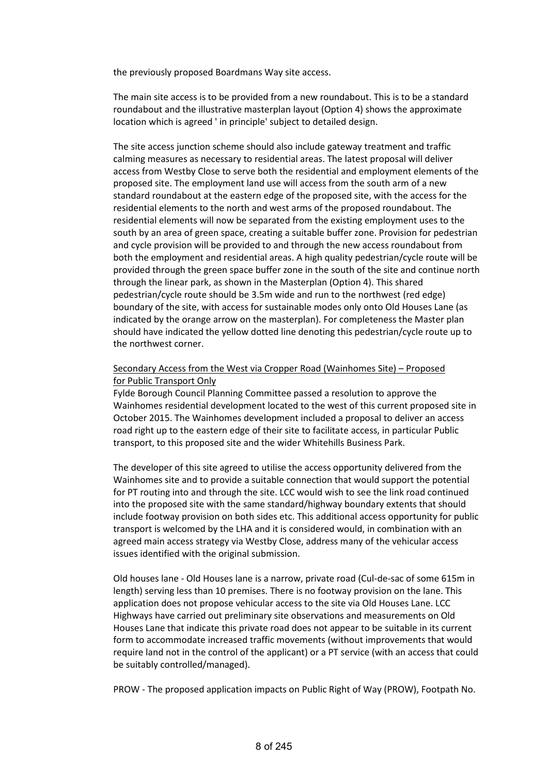the previously proposed Boardmans Way site access.

The main site access is to be provided from a new roundabout. This is to be a standard roundabout and the illustrative masterplan layout (Option 4) shows the approximate location which is agreed ' in principle' subject to detailed design.

The site access junction scheme should also include gateway treatment and traffic calming measures as necessary to residential areas. The latest proposal will deliver access from Westby Close to serve both the residential and employment elements of the proposed site. The employment land use will access from the south arm of a new standard roundabout at the eastern edge of the proposed site, with the access for the residential elements to the north and west arms of the proposed roundabout. The residential elements will now be separated from the existing employment uses to the south by an area of green space, creating a suitable buffer zone. Provision for pedestrian and cycle provision will be provided to and through the new access roundabout from both the employment and residential areas. A high quality pedestrian/cycle route will be provided through the green space buffer zone in the south of the site and continue north through the linear park, as shown in the Masterplan (Option 4). This shared pedestrian/cycle route should be 3.5m wide and run to the northwest (red edge) boundary of the site, with access for sustainable modes only onto Old Houses Lane (as indicated by the orange arrow on the masterplan). For completeness the Master plan should have indicated the yellow dotted line denoting this pedestrian/cycle route up to the northwest corner.

# Secondary Access from the West via Cropper Road (Wainhomes Site) – Proposed for Public Transport Only

Fylde Borough Council Planning Committee passed a resolution to approve the Wainhomes residential development located to the west of this current proposed site in October 2015. The Wainhomes development included a proposal to deliver an access road right up to the eastern edge of their site to facilitate access, in particular Public transport, to this proposed site and the wider Whitehills Business Park.

The developer of this site agreed to utilise the access opportunity delivered from the Wainhomes site and to provide a suitable connection that would support the potential for PT routing into and through the site. LCC would wish to see the link road continued into the proposed site with the same standard/highway boundary extents that should include footway provision on both sides etc. This additional access opportunity for public transport is welcomed by the LHA and it is considered would, in combination with an agreed main access strategy via Westby Close, address many of the vehicular access issues identified with the original submission.

Old houses lane - Old Houses lane is a narrow, private road (Cul-de-sac of some 615m in length) serving less than 10 premises. There is no footway provision on the lane. This application does not propose vehicular access to the site via Old Houses Lane. LCC Highways have carried out preliminary site observations and measurements on Old Houses Lane that indicate this private road does not appear to be suitable in its current form to accommodate increased traffic movements (without improvements that would require land not in the control of the applicant) or a PT service (with an access that could be suitably controlled/managed).

PROW - The proposed application impacts on Public Right of Way (PROW), Footpath No.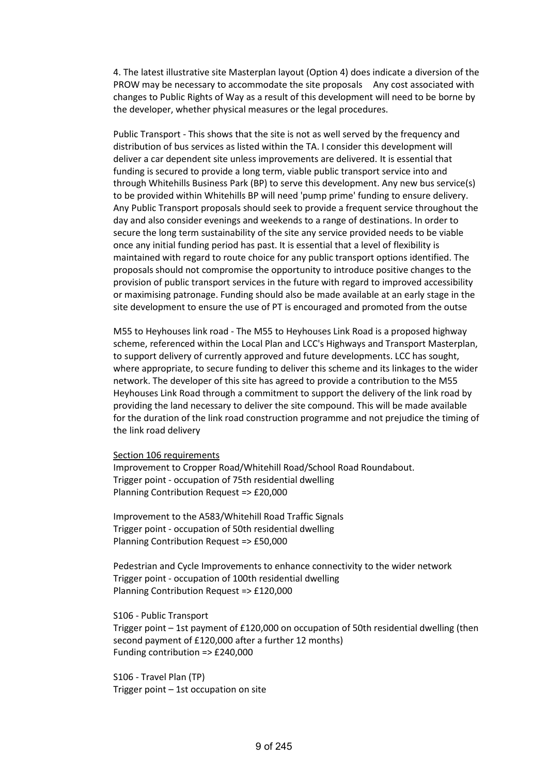4. The latest illustrative site Masterplan layout (Option 4) does indicate a diversion of the PROW may be necessary to accommodate the site proposals Any cost associated with changes to Public Rights of Way as a result of this development will need to be borne by the developer, whether physical measures or the legal procedures.

Public Transport - This shows that the site is not as well served by the frequency and distribution of bus services as listed within the TA. I consider this development will deliver a car dependent site unless improvements are delivered. It is essential that funding is secured to provide a long term, viable public transport service into and through Whitehills Business Park (BP) to serve this development. Any new bus service(s) to be provided within Whitehills BP will need 'pump prime' funding to ensure delivery. Any Public Transport proposals should seek to provide a frequent service throughout the day and also consider evenings and weekends to a range of destinations. In order to secure the long term sustainability of the site any service provided needs to be viable once any initial funding period has past. It is essential that a level of flexibility is maintained with regard to route choice for any public transport options identified. The proposals should not compromise the opportunity to introduce positive changes to the provision of public transport services in the future with regard to improved accessibility or maximising patronage. Funding should also be made available at an early stage in the site development to ensure the use of PT is encouraged and promoted from the outse

M55 to Heyhouses link road - The M55 to Heyhouses Link Road is a proposed highway scheme, referenced within the Local Plan and LCC's Highways and Transport Masterplan, to support delivery of currently approved and future developments. LCC has sought, where appropriate, to secure funding to deliver this scheme and its linkages to the wider network. The developer of this site has agreed to provide a contribution to the M55 Heyhouses Link Road through a commitment to support the delivery of the link road by providing the land necessary to deliver the site compound. This will be made available for the duration of the link road construction programme and not prejudice the timing of the link road delivery

#### Section 106 requirements

Improvement to Cropper Road/Whitehill Road/School Road Roundabout. Trigger point - occupation of 75th residential dwelling Planning Contribution Request => £20,000

Improvement to the A583/Whitehill Road Traffic Signals Trigger point - occupation of 50th residential dwelling Planning Contribution Request => £50,000

Pedestrian and Cycle Improvements to enhance connectivity to the wider network Trigger point - occupation of 100th residential dwelling Planning Contribution Request => £120,000

S106 - Public Transport

Trigger point – 1st payment of £120,000 on occupation of 50th residential dwelling (then second payment of £120,000 after a further 12 months) Funding contribution => £240,000

S106 - Travel Plan (TP) Trigger point – 1st occupation on site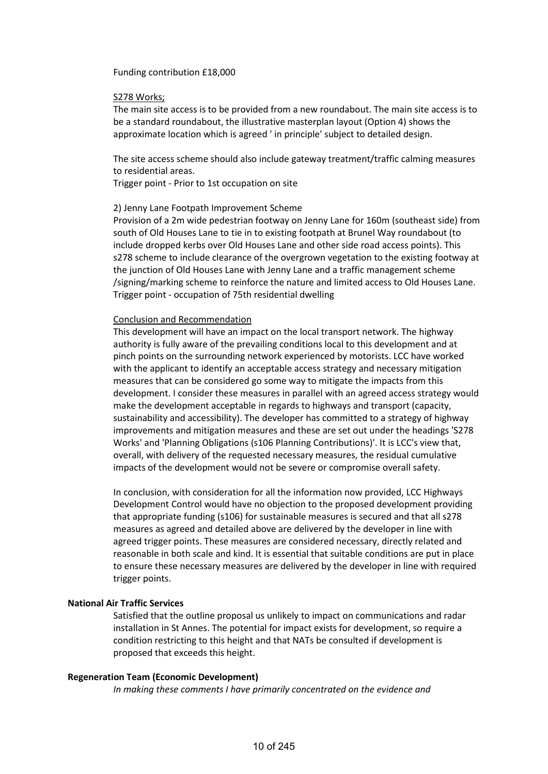Funding contribution £18,000

## S278 Works;

The main site access is to be provided from a new roundabout. The main site access is to be a standard roundabout, the illustrative masterplan layout (Option 4) shows the approximate location which is agreed ' in principle' subject to detailed design.

The site access scheme should also include gateway treatment/traffic calming measures to residential areas.

Trigger point - Prior to 1st occupation on site

## 2) Jenny Lane Footpath Improvement Scheme

Provision of a 2m wide pedestrian footway on Jenny Lane for 160m (southeast side) from south of Old Houses Lane to tie in to existing footpath at Brunel Way roundabout (to include dropped kerbs over Old Houses Lane and other side road access points). This s278 scheme to include clearance of the overgrown vegetation to the existing footway at the junction of Old Houses Lane with Jenny Lane and a traffic management scheme /signing/marking scheme to reinforce the nature and limited access to Old Houses Lane. Trigger point - occupation of 75th residential dwelling

## Conclusion and Recommendation

This development will have an impact on the local transport network. The highway authority is fully aware of the prevailing conditions local to this development and at pinch points on the surrounding network experienced by motorists. LCC have worked with the applicant to identify an acceptable access strategy and necessary mitigation measures that can be considered go some way to mitigate the impacts from this development. I consider these measures in parallel with an agreed access strategy would make the development acceptable in regards to highways and transport (capacity, sustainability and accessibility). The developer has committed to a strategy of highway improvements and mitigation measures and these are set out under the headings 'S278 Works' and 'Planning Obligations (s106 Planning Contributions)'. It is LCC's view that, overall, with delivery of the requested necessary measures, the residual cumulative impacts of the development would not be severe or compromise overall safety.

In conclusion, with consideration for all the information now provided, LCC Highways Development Control would have no objection to the proposed development providing that appropriate funding (s106) for sustainable measures is secured and that all s278 measures as agreed and detailed above are delivered by the developer in line with agreed trigger points. These measures are considered necessary, directly related and reasonable in both scale and kind. It is essential that suitable conditions are put in place to ensure these necessary measures are delivered by the developer in line with required trigger points.

# **National Air Traffic Services**

Satisfied that the outline proposal us unlikely to impact on communications and radar installation in St Annes. The potential for impact exists for development, so require a condition restricting to this height and that NATs be consulted if development is proposed that exceeds this height.

## **Regeneration Team (Economic Development)**

*In making these comments I have primarily concentrated on the evidence and*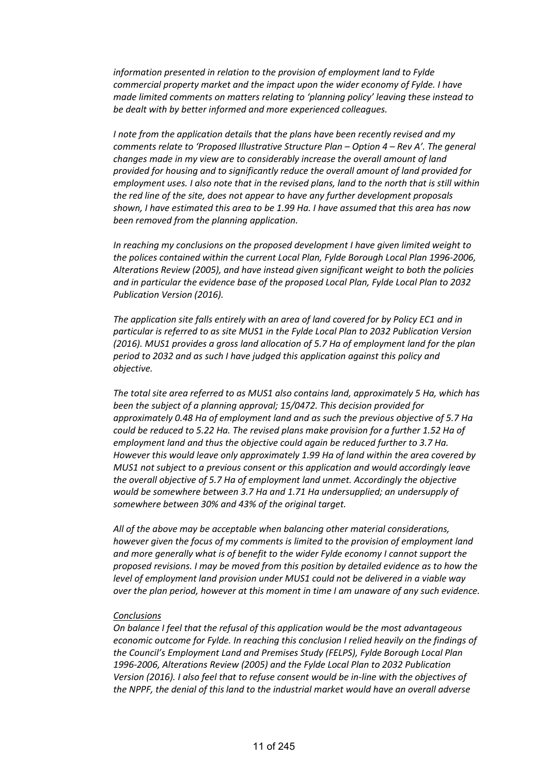*information presented in relation to the provision of employment land to Fylde commercial property market and the impact upon the wider economy of Fylde. I have made limited comments on matters relating to 'planning policy' leaving these instead to be dealt with by better informed and more experienced colleagues.*

*I note from the application details that the plans have been recently revised and my comments relate to 'Proposed Illustrative Structure Plan – Option 4 – Rev A'. The general changes made in my view are to considerably increase the overall amount of land provided for housing and to significantly reduce the overall amount of land provided for employment uses. I also note that in the revised plans, land to the north that is still within the red line of the site, does not appear to have any further development proposals shown, I have estimated this area to be 1.99 Ha. I have assumed that this area has now been removed from the planning application.*

*In reaching my conclusions on the proposed development I have given limited weight to the polices contained within the current Local Plan, Fylde Borough Local Plan 1996-2006, Alterations Review (2005), and have instead given significant weight to both the policies and in particular the evidence base of the proposed Local Plan, Fylde Local Plan to 2032 Publication Version (2016).*

*The application site falls entirely with an area of land covered for by Policy EC1 and in particular is referred to as site MUS1 in the Fylde Local Plan to 2032 Publication Version (2016). MUS1 provides a gross land allocation of 5.7 Ha of employment land for the plan period to 2032 and as such I have judged this application against this policy and objective.*

*The total site area referred to as MUS1 also contains land, approximately 5 Ha, which has been the subject of a planning approval; 15/0472. This decision provided for approximately 0.48 Ha of employment land and as such the previous objective of 5.7 Ha could be reduced to 5.22 Ha. The revised plans make provision for a further 1.52 Ha of employment land and thus the objective could again be reduced further to 3.7 Ha. However this would leave only approximately 1.99 Ha of land within the area covered by MUS1 not subject to a previous consent or this application and would accordingly leave the overall objective of 5.7 Ha of employment land unmet. Accordingly the objective would be somewhere between 3.7 Ha and 1.71 Ha undersupplied; an undersupply of somewhere between 30% and 43% of the original target.*

*All of the above may be acceptable when balancing other material considerations, however given the focus of my comments is limited to the provision of employment land and more generally what is of benefit to the wider Fylde economy I cannot support the proposed revisions. I may be moved from this position by detailed evidence as to how the level of employment land provision under MUS1 could not be delivered in a viable way over the plan period, however at this moment in time I am unaware of any such evidence.*

## *Conclusions*

*On balance I feel that the refusal of this application would be the most advantageous economic outcome for Fylde. In reaching this conclusion I relied heavily on the findings of the Council's Employment Land and Premises Study (FELPS), Fylde Borough Local Plan 1996-2006, Alterations Review (2005) and the Fylde Local Plan to 2032 Publication Version (2016). I also feel that to refuse consent would be in-line with the objectives of the NPPF, the denial of this land to the industrial market would have an overall adverse*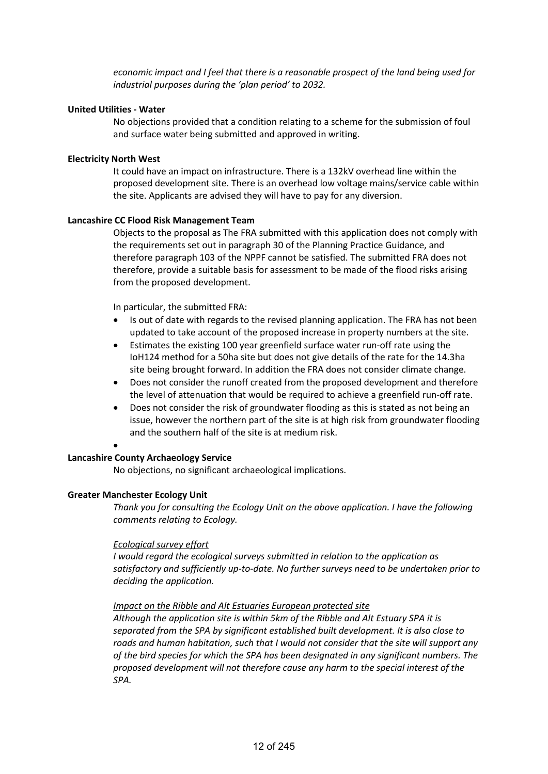*economic impact and I feel that there is a reasonable prospect of the land being used for industrial purposes during the 'plan period' to 2032.*

## **United Utilities - Water**

No objections provided that a condition relating to a scheme for the submission of foul and surface water being submitted and approved in writing.

## **Electricity North West**

It could have an impact on infrastructure. There is a 132kV overhead line within the proposed development site. There is an overhead low voltage mains/service cable within the site. Applicants are advised they will have to pay for any diversion.

## **Lancashire CC Flood Risk Management Team**

Objects to the proposal as The FRA submitted with this application does not comply with the requirements set out in paragraph 30 of the Planning Practice Guidance, and therefore paragraph 103 of the NPPF cannot be satisfied. The submitted FRA does not therefore, provide a suitable basis for assessment to be made of the flood risks arising from the proposed development.

In particular, the submitted FRA:

- Is out of date with regards to the revised planning application. The FRA has not been updated to take account of the proposed increase in property numbers at the site.
- Estimates the existing 100 year greenfield surface water run-off rate using the IoH124 method for a 50ha site but does not give details of the rate for the 14.3ha site being brought forward. In addition the FRA does not consider climate change.
- Does not consider the runoff created from the proposed development and therefore the level of attenuation that would be required to achieve a greenfield run-off rate.
- Does not consider the risk of groundwater flooding as this is stated as not being an issue, however the northern part of the site is at high risk from groundwater flooding and the southern half of the site is at medium risk.

#### •

# **Lancashire County Archaeology Service**

No objections, no significant archaeological implications.

# **Greater Manchester Ecology Unit**

*Thank you for consulting the Ecology Unit on the above application. I have the following comments relating to Ecology.*

## *Ecological survey effort*

*I would regard the ecological surveys submitted in relation to the application as satisfactory and sufficiently up-to-date. No further surveys need to be undertaken prior to deciding the application.* 

## *Impact on the Ribble and Alt Estuaries European protected site*

*Although the application site is within 5km of the Ribble and Alt Estuary SPA it is separated from the SPA by significant established built development. It is also close to roads and human habitation, such that I would not consider that the site will support any of the bird species for which the SPA has been designated in any significant numbers. The proposed development will not therefore cause any harm to the special interest of the SPA.*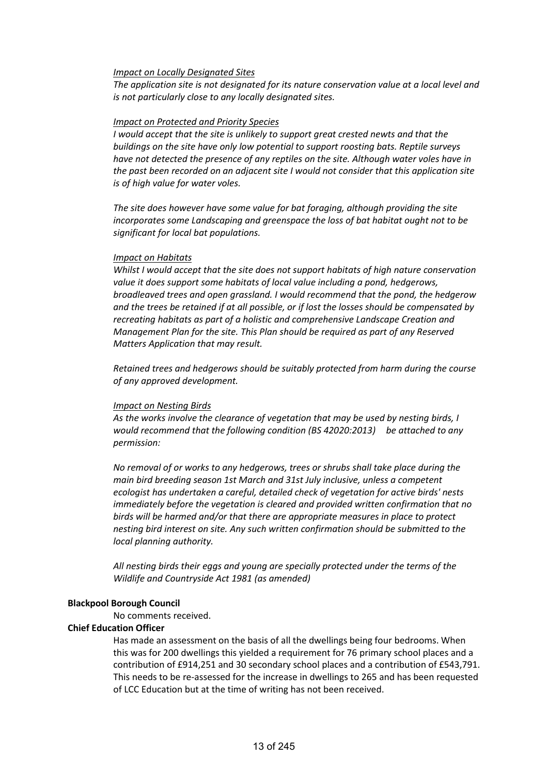## *Impact on Locally Designated Sites*

*The application site is not designated for its nature conservation value at a local level and is not particularly close to any locally designated sites.* 

## *Impact on Protected and Priority Species*

*I would accept that the site is unlikely to support great crested newts and that the buildings on the site have only low potential to support roosting bats. Reptile surveys have not detected the presence of any reptiles on the site. Although water voles have in the past been recorded on an adjacent site I would not consider that this application site is of high value for water voles.*

*The site does however have some value for bat foraging, although providing the site incorporates some Landscaping and greenspace the loss of bat habitat ought not to be significant for local bat populations.* 

## *Impact on Habitats*

*Whilst I would accept that the site does not support habitats of high nature conservation value it does support some habitats of local value including a pond, hedgerows, broadleaved trees and open grassland. I would recommend that the pond, the hedgerow and the trees be retained if at all possible, or if lost the losses should be compensated by recreating habitats as part of a holistic and comprehensive Landscape Creation and Management Plan for the site. This Plan should be required as part of any Reserved Matters Application that may result.*

*Retained trees and hedgerows should be suitably protected from harm during the course of any approved development.* 

## *Impact on Nesting Birds*

*As the works involve the clearance of vegetation that may be used by nesting birds, I would recommend that the following condition (BS 42020:2013) be attached to any permission:*

*No removal of or works to any hedgerows, trees or shrubs shall take place during the main bird breeding season 1st March and 31st July inclusive, unless a competent ecologist has undertaken a careful, detailed check of vegetation for active birds' nests immediately before the vegetation is cleared and provided written confirmation that no birds will be harmed and/or that there are appropriate measures in place to protect nesting bird interest on site. Any such written confirmation should be submitted to the local planning authority.*

*All nesting birds their eggs and young are specially protected under the terms of the Wildlife and Countryside Act 1981 (as amended)*

# **Blackpool Borough Council**

No comments received.

# **Chief Education Officer**

Has made an assessment on the basis of all the dwellings being four bedrooms. When this was for 200 dwellings this yielded a requirement for 76 primary school places and a contribution of £914,251 and 30 secondary school places and a contribution of £543,791. This needs to be re-assessed for the increase in dwellings to 265 and has been requested of LCC Education but at the time of writing has not been received.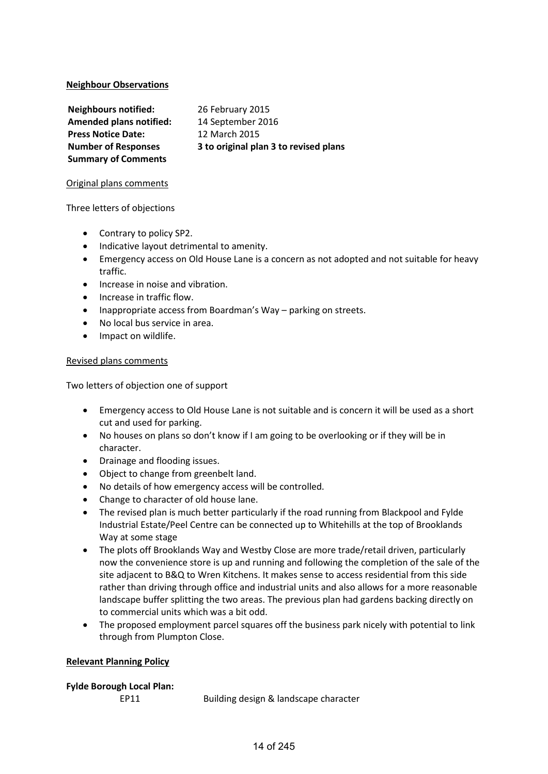# **Neighbour Observations**

| <b>Neighbours notified:</b>    | 26 February 2015                      |
|--------------------------------|---------------------------------------|
| <b>Amended plans notified:</b> | 14 September 2016                     |
| <b>Press Notice Date:</b>      | 12 March 2015                         |
| <b>Number of Responses</b>     | 3 to original plan 3 to revised plans |
| <b>Summary of Comments</b>     |                                       |

# Original plans comments

# Three letters of objections

- Contrary to policy SP2.
- Indicative layout detrimental to amenity.
- Emergency access on Old House Lane is a concern as not adopted and not suitable for heavy traffic.
- Increase in noise and vibration.
- Increase in traffic flow.
- Inappropriate access from Boardman's Way parking on streets.
- No local bus service in area.
- Impact on wildlife.

# Revised plans comments

Two letters of objection one of support

- Emergency access to Old House Lane is not suitable and is concern it will be used as a short cut and used for parking.
- No houses on plans so don't know if I am going to be overlooking or if they will be in character.
- Drainage and flooding issues.
- Object to change from greenbelt land.
- No details of how emergency access will be controlled.
- Change to character of old house lane.
- The revised plan is much better particularly if the road running from Blackpool and Fylde Industrial Estate/Peel Centre can be connected up to Whitehills at the top of Brooklands Way at some stage
- The plots off Brooklands Way and Westby Close are more trade/retail driven, particularly now the convenience store is up and running and following the completion of the sale of the site adjacent to B&Q to Wren Kitchens. It makes sense to access residential from this side rather than driving through office and industrial units and also allows for a more reasonable landscape buffer splitting the two areas. The previous plan had gardens backing directly on to commercial units which was a bit odd.
- The proposed employment parcel squares off the business park nicely with potential to link through from Plumpton Close.

# **Relevant Planning Policy**

# **Fylde Borough Local Plan:**

EP11 Building design & landscape character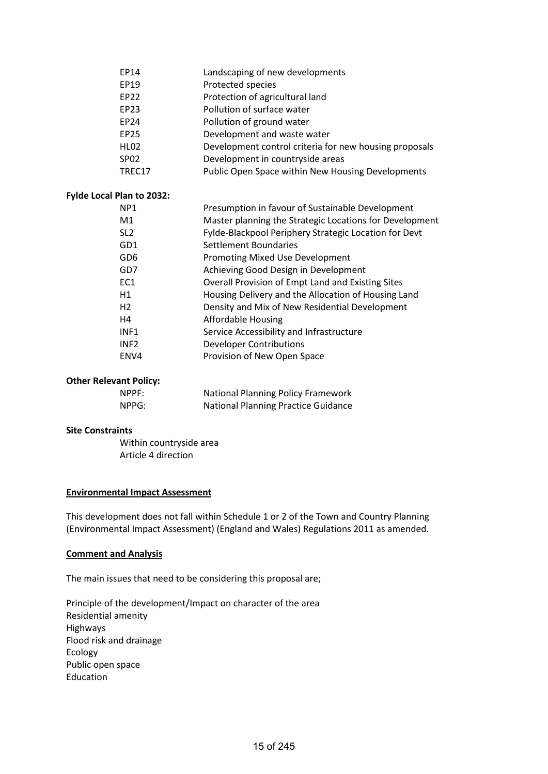|                  | Landscaping of new developments                                                                               |
|------------------|---------------------------------------------------------------------------------------------------------------|
|                  |                                                                                                               |
|                  | Protected species                                                                                             |
|                  | Protection of agricultural land                                                                               |
|                  | Pollution of surface water                                                                                    |
|                  | Pollution of ground water                                                                                     |
|                  | Development and waste water                                                                                   |
|                  | Development control criteria for new housing proposals                                                        |
| SP <sub>02</sub> | Development in countryside areas                                                                              |
| TREC17           | Public Open Space within New Housing Developments                                                             |
|                  |                                                                                                               |
| NP <sub>1</sub>  | Presumption in favour of Sustainable Development                                                              |
| M1               | Master planning the Strategic Locations for Development                                                       |
| SL <sub>2</sub>  | Fylde-Blackpool Periphery Strategic Location for Devt                                                         |
| GD1              | Settlement Boundaries                                                                                         |
| GD <sub>6</sub>  | Promoting Mixed Use Development                                                                               |
| GD7              | Achieving Good Design in Development                                                                          |
| EC1              | Overall Provision of Empt Land and Existing Sites                                                             |
| H1               | Housing Delivery and the Allocation of Housing Land                                                           |
| H <sub>2</sub>   | Density and Mix of New Residential Development                                                                |
| H <sub>4</sub>   | <b>Affordable Housing</b>                                                                                     |
| INF1             | Service Accessibility and Infrastructure                                                                      |
| INF <sub>2</sub> | <b>Developer Contributions</b>                                                                                |
| ENV4             | Provision of New Open Space                                                                                   |
|                  | EP14<br>EP19<br><b>EP22</b><br>EP23<br><b>EP24</b><br><b>EP25</b><br><b>HL02</b><br>Fylde Local Plan to 2032: |

## **Other Relevant Policy:**

| NPPF: | <b>National Planning Policy Framework</b>  |
|-------|--------------------------------------------|
| NPPG: | <b>National Planning Practice Guidance</b> |

# **Site Constraints**

**Fylde** 

Within countryside area Article 4 direction

# **Environmental Impact Assessment**

This development does not fall within Schedule 1 or 2 of the Town and Country Planning (Environmental Impact Assessment) (England and Wales) Regulations 2011 as amended.

# **Comment and Analysis**

The main issues that need to be considering this proposal are;

Principle of the development/Impact on character of the area Residential amenity Highways Flood risk and drainage Ecology Public open space Education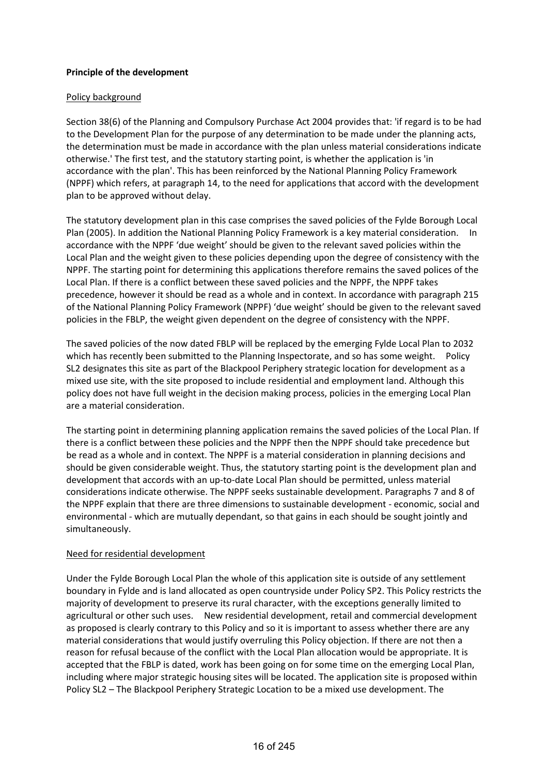# **Principle of the development**

# Policy background

Section 38(6) of the Planning and Compulsory Purchase Act 2004 provides that: 'if regard is to be had to the Development Plan for the purpose of any determination to be made under the planning acts, the determination must be made in accordance with the plan unless material considerations indicate otherwise.' The first test, and the statutory starting point, is whether the application is 'in accordance with the plan'. This has been reinforced by the National Planning Policy Framework (NPPF) which refers, at paragraph 14, to the need for applications that accord with the development plan to be approved without delay.

The statutory development plan in this case comprises the saved policies of the Fylde Borough Local Plan (2005). In addition the National Planning Policy Framework is a key material consideration. In accordance with the NPPF 'due weight' should be given to the relevant saved policies within the Local Plan and the weight given to these policies depending upon the degree of consistency with the NPPF. The starting point for determining this applications therefore remains the saved polices of the Local Plan. If there is a conflict between these saved policies and the NPPF, the NPPF takes precedence, however it should be read as a whole and in context. In accordance with paragraph 215 of the National Planning Policy Framework (NPPF) 'due weight' should be given to the relevant saved policies in the FBLP, the weight given dependent on the degree of consistency with the NPPF.

The saved policies of the now dated FBLP will be replaced by the emerging Fylde Local Plan to 2032 which has recently been submitted to the Planning Inspectorate, and so has some weight. Policy SL2 designates this site as part of the Blackpool Periphery strategic location for development as a mixed use site, with the site proposed to include residential and employment land. Although this policy does not have full weight in the decision making process, policies in the emerging Local Plan are a material consideration.

The starting point in determining planning application remains the saved policies of the Local Plan. If there is a conflict between these policies and the NPPF then the NPPF should take precedence but be read as a whole and in context. The NPPF is a material consideration in planning decisions and should be given considerable weight. Thus, the statutory starting point is the development plan and development that accords with an up-to-date Local Plan should be permitted, unless material considerations indicate otherwise. The NPPF seeks sustainable development. Paragraphs 7 and 8 of the NPPF explain that there are three dimensions to sustainable development - economic, social and environmental - which are mutually dependant, so that gains in each should be sought jointly and simultaneously.

# Need for residential development

Under the Fylde Borough Local Plan the whole of this application site is outside of any settlement boundary in Fylde and is land allocated as open countryside under Policy SP2. This Policy restricts the majority of development to preserve its rural character, with the exceptions generally limited to agricultural or other such uses. New residential development, retail and commercial development as proposed is clearly contrary to this Policy and so it is important to assess whether there are any material considerations that would justify overruling this Policy objection. If there are not then a reason for refusal because of the conflict with the Local Plan allocation would be appropriate. It is accepted that the FBLP is dated, work has been going on for some time on the emerging Local Plan, including where major strategic housing sites will be located. The application site is proposed within Policy SL2 – The Blackpool Periphery Strategic Location to be a mixed use development. The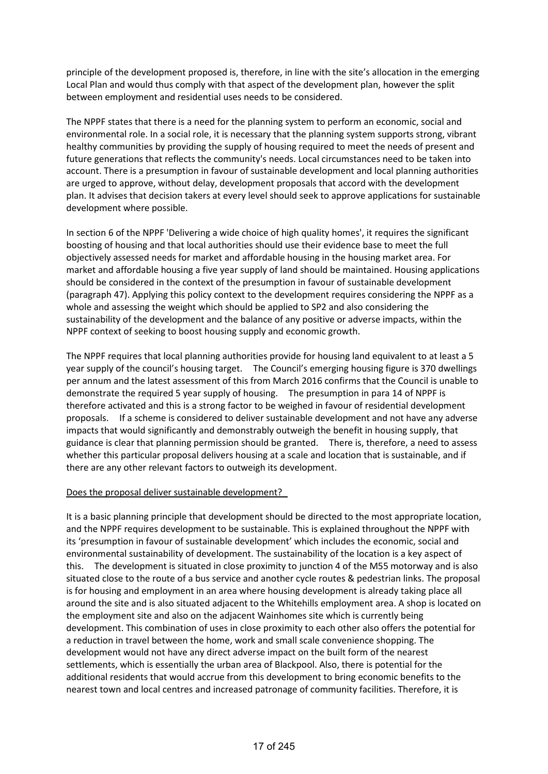principle of the development proposed is, therefore, in line with the site's allocation in the emerging Local Plan and would thus comply with that aspect of the development plan, however the split between employment and residential uses needs to be considered.

The NPPF states that there is a need for the planning system to perform an economic, social and environmental role. In a social role, it is necessary that the planning system supports strong, vibrant healthy communities by providing the supply of housing required to meet the needs of present and future generations that reflects the community's needs. Local circumstances need to be taken into account. There is a presumption in favour of sustainable development and local planning authorities are urged to approve, without delay, development proposals that accord with the development plan. It advises that decision takers at every level should seek to approve applications for sustainable development where possible.

In section 6 of the NPPF 'Delivering a wide choice of high quality homes', it requires the significant boosting of housing and that local authorities should use their evidence base to meet the full objectively assessed needs for market and affordable housing in the housing market area. For market and affordable housing a five year supply of land should be maintained. Housing applications should be considered in the context of the presumption in favour of sustainable development (paragraph 47). Applying this policy context to the development requires considering the NPPF as a whole and assessing the weight which should be applied to SP2 and also considering the sustainability of the development and the balance of any positive or adverse impacts, within the NPPF context of seeking to boost housing supply and economic growth.

The NPPF requires that local planning authorities provide for housing land equivalent to at least a 5 year supply of the council's housing target. The Council's emerging housing figure is 370 dwellings per annum and the latest assessment of this from March 2016 confirms that the Council is unable to demonstrate the required 5 year supply of housing. The presumption in para 14 of NPPF is therefore activated and this is a strong factor to be weighed in favour of residential development proposals. If a scheme is considered to deliver sustainable development and not have any adverse impacts that would significantly and demonstrably outweigh the benefit in housing supply, that guidance is clear that planning permission should be granted. There is, therefore, a need to assess whether this particular proposal delivers housing at a scale and location that is sustainable, and if there are any other relevant factors to outweigh its development.

# Does the proposal deliver sustainable development?

It is a basic planning principle that development should be directed to the most appropriate location, and the NPPF requires development to be sustainable. This is explained throughout the NPPF with its 'presumption in favour of sustainable development' which includes the economic, social and environmental sustainability of development. The sustainability of the location is a key aspect of this. The development is situated in close proximity to junction 4 of the M55 motorway and is also situated close to the route of a bus service and another cycle routes & pedestrian links. The proposal is for housing and employment in an area where housing development is already taking place all around the site and is also situated adjacent to the Whitehills employment area. A shop is located on the employment site and also on the adjacent Wainhomes site which is currently being development. This combination of uses in close proximity to each other also offers the potential for a reduction in travel between the home, work and small scale convenience shopping. The development would not have any direct adverse impact on the built form of the nearest settlements, which is essentially the urban area of Blackpool. Also, there is potential for the additional residents that would accrue from this development to bring economic benefits to the nearest town and local centres and increased patronage of community facilities. Therefore, it is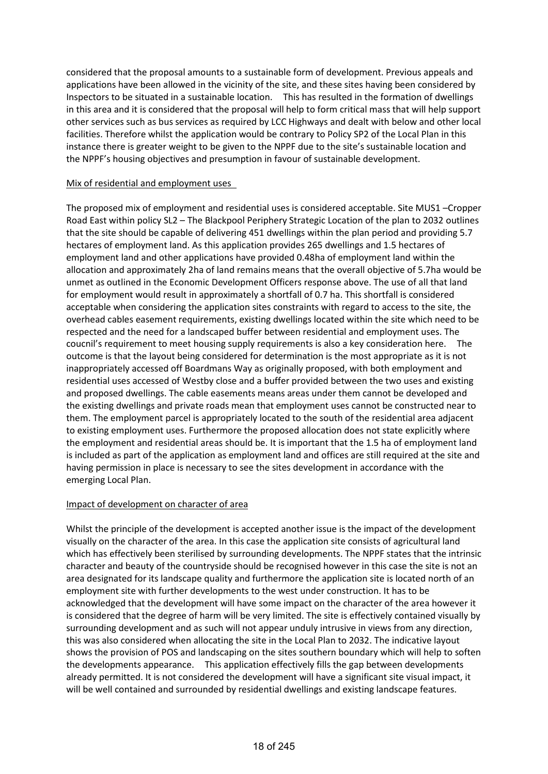considered that the proposal amounts to a sustainable form of development. Previous appeals and applications have been allowed in the vicinity of the site, and these sites having been considered by Inspectors to be situated in a sustainable location. This has resulted in the formation of dwellings in this area and it is considered that the proposal will help to form critical mass that will help support other services such as bus services as required by LCC Highways and dealt with below and other local facilities. Therefore whilst the application would be contrary to Policy SP2 of the Local Plan in this instance there is greater weight to be given to the NPPF due to the site's sustainable location and the NPPF's housing objectives and presumption in favour of sustainable development.

# Mix of residential and employment uses

The proposed mix of employment and residential uses is considered acceptable. Site MUS1 –Cropper Road East within policy SL2 – The Blackpool Periphery Strategic Location of the plan to 2032 outlines that the site should be capable of delivering 451 dwellings within the plan period and providing 5.7 hectares of employment land. As this application provides 265 dwellings and 1.5 hectares of employment land and other applications have provided 0.48ha of employment land within the allocation and approximately 2ha of land remains means that the overall objective of 5.7ha would be unmet as outlined in the Economic Development Officers response above. The use of all that land for employment would result in approximately a shortfall of 0.7 ha. This shortfall is considered acceptable when considering the application sites constraints with regard to access to the site, the overhead cables easement requirements, existing dwellings located within the site which need to be respected and the need for a landscaped buffer between residential and employment uses. The coucnil's requirement to meet housing supply requirements is also a key consideration here. The outcome is that the layout being considered for determination is the most appropriate as it is not inappropriately accessed off Boardmans Way as originally proposed, with both employment and residential uses accessed of Westby close and a buffer provided between the two uses and existing and proposed dwellings. The cable easements means areas under them cannot be developed and the existing dwellings and private roads mean that employment uses cannot be constructed near to them. The employment parcel is appropriately located to the south of the residential area adjacent to existing employment uses. Furthermore the proposed allocation does not state explicitly where the employment and residential areas should be. It is important that the 1.5 ha of employment land is included as part of the application as employment land and offices are still required at the site and having permission in place is necessary to see the sites development in accordance with the emerging Local Plan.

# Impact of development on character of area

Whilst the principle of the development is accepted another issue is the impact of the development visually on the character of the area. In this case the application site consists of agricultural land which has effectively been sterilised by surrounding developments. The NPPF states that the intrinsic character and beauty of the countryside should be recognised however in this case the site is not an area designated for its landscape quality and furthermore the application site is located north of an employment site with further developments to the west under construction. It has to be acknowledged that the development will have some impact on the character of the area however it is considered that the degree of harm will be very limited. The site is effectively contained visually by surrounding development and as such will not appear unduly intrusive in views from any direction, this was also considered when allocating the site in the Local Plan to 2032. The indicative layout shows the provision of POS and landscaping on the sites southern boundary which will help to soften the developments appearance. This application effectively fills the gap between developments already permitted. It is not considered the development will have a significant site visual impact, it will be well contained and surrounded by residential dwellings and existing landscape features.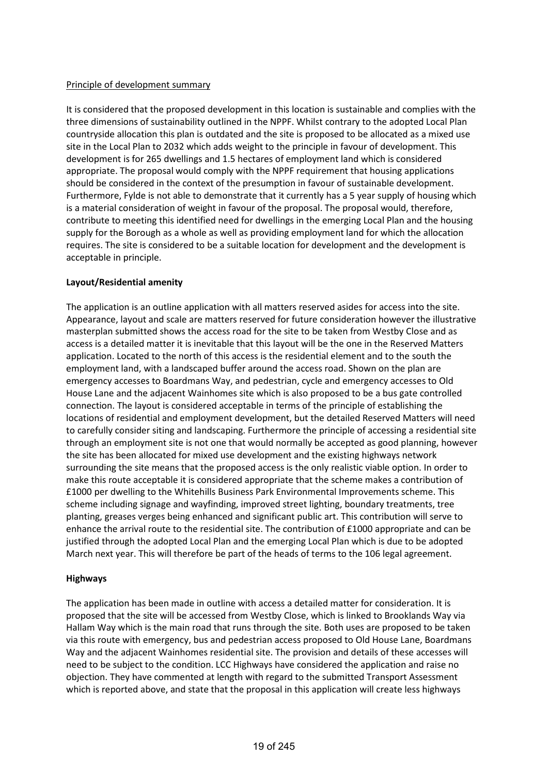# Principle of development summary

It is considered that the proposed development in this location is sustainable and complies with the three dimensions of sustainability outlined in the NPPF. Whilst contrary to the adopted Local Plan countryside allocation this plan is outdated and the site is proposed to be allocated as a mixed use site in the Local Plan to 2032 which adds weight to the principle in favour of development. This development is for 265 dwellings and 1.5 hectares of employment land which is considered appropriate. The proposal would comply with the NPPF requirement that housing applications should be considered in the context of the presumption in favour of sustainable development. Furthermore, Fylde is not able to demonstrate that it currently has a 5 year supply of housing which is a material consideration of weight in favour of the proposal. The proposal would, therefore, contribute to meeting this identified need for dwellings in the emerging Local Plan and the housing supply for the Borough as a whole as well as providing employment land for which the allocation requires. The site is considered to be a suitable location for development and the development is acceptable in principle.

# **Layout/Residential amenity**

The application is an outline application with all matters reserved asides for access into the site. Appearance, layout and scale are matters reserved for future consideration however the illustrative masterplan submitted shows the access road for the site to be taken from Westby Close and as access is a detailed matter it is inevitable that this layout will be the one in the Reserved Matters application. Located to the north of this access is the residential element and to the south the employment land, with a landscaped buffer around the access road. Shown on the plan are emergency accesses to Boardmans Way, and pedestrian, cycle and emergency accesses to Old House Lane and the adjacent Wainhomes site which is also proposed to be a bus gate controlled connection. The layout is considered acceptable in terms of the principle of establishing the locations of residential and employment development, but the detailed Reserved Matters will need to carefully consider siting and landscaping. Furthermore the principle of accessing a residential site through an employment site is not one that would normally be accepted as good planning, however the site has been allocated for mixed use development and the existing highways network surrounding the site means that the proposed access is the only realistic viable option. In order to make this route acceptable it is considered appropriate that the scheme makes a contribution of £1000 per dwelling to the Whitehills Business Park Environmental Improvements scheme. This scheme including signage and wayfinding, improved street lighting, boundary treatments, tree planting, greases verges being enhanced and significant public art. This contribution will serve to enhance the arrival route to the residential site. The contribution of £1000 appropriate and can be justified through the adopted Local Plan and the emerging Local Plan which is due to be adopted March next year. This will therefore be part of the heads of terms to the 106 legal agreement.

# **Highways**

The application has been made in outline with access a detailed matter for consideration. It is proposed that the site will be accessed from Westby Close, which is linked to Brooklands Way via Hallam Way which is the main road that runs through the site. Both uses are proposed to be taken via this route with emergency, bus and pedestrian access proposed to Old House Lane, Boardmans Way and the adjacent Wainhomes residential site. The provision and details of these accesses will need to be subject to the condition. LCC Highways have considered the application and raise no objection. They have commented at length with regard to the submitted Transport Assessment which is reported above, and state that the proposal in this application will create less highways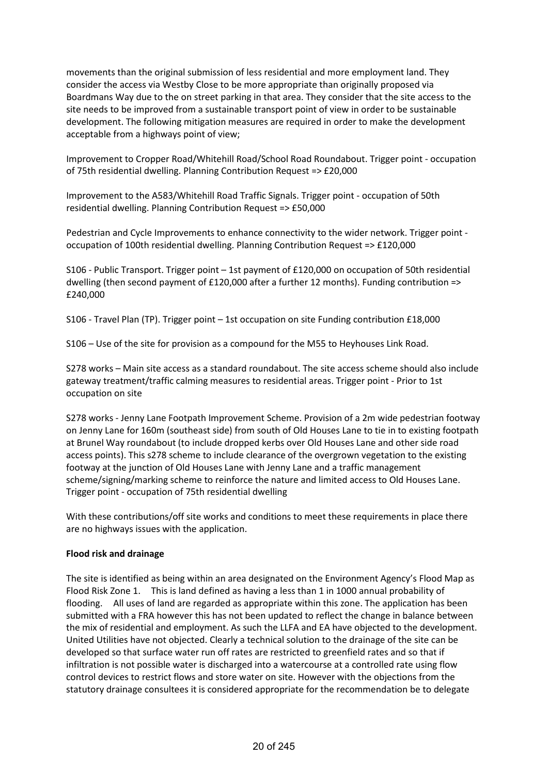movements than the original submission of less residential and more employment land. They consider the access via Westby Close to be more appropriate than originally proposed via Boardmans Way due to the on street parking in that area. They consider that the site access to the site needs to be improved from a sustainable transport point of view in order to be sustainable development. The following mitigation measures are required in order to make the development acceptable from a highways point of view;

Improvement to Cropper Road/Whitehill Road/School Road Roundabout. Trigger point - occupation of 75th residential dwelling. Planning Contribution Request => £20,000

Improvement to the A583/Whitehill Road Traffic Signals. Trigger point - occupation of 50th residential dwelling. Planning Contribution Request => £50,000

Pedestrian and Cycle Improvements to enhance connectivity to the wider network. Trigger point occupation of 100th residential dwelling. Planning Contribution Request => £120,000

S106 - Public Transport. Trigger point – 1st payment of £120,000 on occupation of 50th residential dwelling (then second payment of £120,000 after a further 12 months). Funding contribution => £240,000

S106 - Travel Plan (TP). Trigger point – 1st occupation on site Funding contribution £18,000

S106 – Use of the site for provision as a compound for the M55 to Heyhouses Link Road.

S278 works – Main site access as a standard roundabout. The site access scheme should also include gateway treatment/traffic calming measures to residential areas. Trigger point - Prior to 1st occupation on site

S278 works - Jenny Lane Footpath Improvement Scheme. Provision of a 2m wide pedestrian footway on Jenny Lane for 160m (southeast side) from south of Old Houses Lane to tie in to existing footpath at Brunel Way roundabout (to include dropped kerbs over Old Houses Lane and other side road access points). This s278 scheme to include clearance of the overgrown vegetation to the existing footway at the junction of Old Houses Lane with Jenny Lane and a traffic management scheme/signing/marking scheme to reinforce the nature and limited access to Old Houses Lane. Trigger point - occupation of 75th residential dwelling

With these contributions/off site works and conditions to meet these requirements in place there are no highways issues with the application.

# **Flood risk and drainage**

The site is identified as being within an area designated on the Environment Agency's Flood Map as Flood Risk Zone 1. This is land defined as having a less than 1 in 1000 annual probability of flooding. All uses of land are regarded as appropriate within this zone. The application has been submitted with a FRA however this has not been updated to reflect the change in balance between the mix of residential and employment. As such the LLFA and EA have objected to the development. United Utilities have not objected. Clearly a technical solution to the drainage of the site can be developed so that surface water run off rates are restricted to greenfield rates and so that if infiltration is not possible water is discharged into a watercourse at a controlled rate using flow control devices to restrict flows and store water on site. However with the objections from the statutory drainage consultees it is considered appropriate for the recommendation be to delegate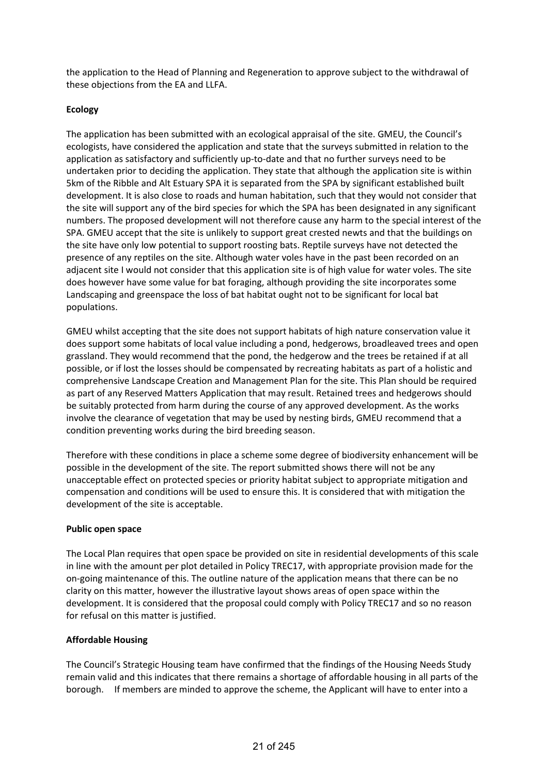the application to the Head of Planning and Regeneration to approve subject to the withdrawal of these objections from the EA and LLFA.

# **Ecology**

The application has been submitted with an ecological appraisal of the site. GMEU, the Council's ecologists, have considered the application and state that the surveys submitted in relation to the application as satisfactory and sufficiently up-to-date and that no further surveys need to be undertaken prior to deciding the application. They state that although the application site is within 5km of the Ribble and Alt Estuary SPA it is separated from the SPA by significant established built development. It is also close to roads and human habitation, such that they would not consider that the site will support any of the bird species for which the SPA has been designated in any significant numbers. The proposed development will not therefore cause any harm to the special interest of the SPA. GMEU accept that the site is unlikely to support great crested newts and that the buildings on the site have only low potential to support roosting bats. Reptile surveys have not detected the presence of any reptiles on the site. Although water voles have in the past been recorded on an adjacent site I would not consider that this application site is of high value for water voles. The site does however have some value for bat foraging, although providing the site incorporates some Landscaping and greenspace the loss of bat habitat ought not to be significant for local bat populations.

GMEU whilst accepting that the site does not support habitats of high nature conservation value it does support some habitats of local value including a pond, hedgerows, broadleaved trees and open grassland. They would recommend that the pond, the hedgerow and the trees be retained if at all possible, or if lost the losses should be compensated by recreating habitats as part of a holistic and comprehensive Landscape Creation and Management Plan for the site. This Plan should be required as part of any Reserved Matters Application that may result. Retained trees and hedgerows should be suitably protected from harm during the course of any approved development. As the works involve the clearance of vegetation that may be used by nesting birds, GMEU recommend that a condition preventing works during the bird breeding season.

Therefore with these conditions in place a scheme some degree of biodiversity enhancement will be possible in the development of the site. The report submitted shows there will not be any unacceptable effect on protected species or priority habitat subject to appropriate mitigation and compensation and conditions will be used to ensure this. It is considered that with mitigation the development of the site is acceptable.

# **Public open space**

The Local Plan requires that open space be provided on site in residential developments of this scale in line with the amount per plot detailed in Policy TREC17, with appropriate provision made for the on-going maintenance of this. The outline nature of the application means that there can be no clarity on this matter, however the illustrative layout shows areas of open space within the development. It is considered that the proposal could comply with Policy TREC17 and so no reason for refusal on this matter is justified.

# **Affordable Housing**

The Council's Strategic Housing team have confirmed that the findings of the Housing Needs Study remain valid and this indicates that there remains a shortage of affordable housing in all parts of the borough. If members are minded to approve the scheme, the Applicant will have to enter into a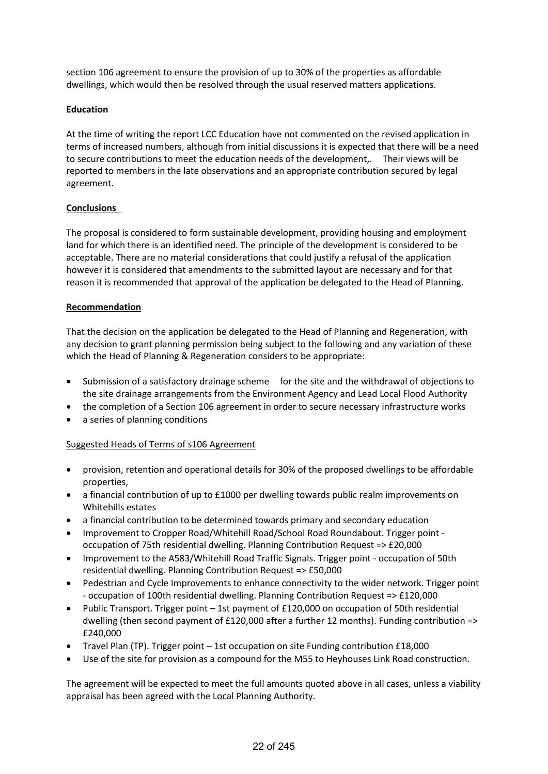section 106 agreement to ensure the provision of up to 30% of the properties as affordable dwellings, which would then be resolved through the usual reserved matters applications.

# **Education**

At the time of writing the report LCC Education have not commented on the revised application in terms of increased numbers, although from initial discussions it is expected that there will be a need to secure contributions to meet the education needs of the development,. Their views will be reported to members in the late observations and an appropriate contribution secured by legal agreement.

# **Conclusions**

The proposal is considered to form sustainable development, providing housing and employment land for which there is an identified need. The principle of the development is considered to be acceptable. There are no material considerations that could justify a refusal of the application however it is considered that amendments to the submitted layout are necessary and for that reason it is recommended that approval of the application be delegated to the Head of Planning.

# **Recommendation**

That the decision on the application be delegated to the Head of Planning and Regeneration, with any decision to grant planning permission being subject to the following and any variation of these which the Head of Planning & Regeneration considers to be appropriate:

- Submission of a satisfactory drainage scheme for the site and the withdrawal of objections to the site drainage arrangements from the Environment Agency and Lead Local Flood Authority
- the completion of a Section 106 agreement in order to secure necessary infrastructure works
- a series of planning conditions

# Suggested Heads of Terms of s106 Agreement

- provision, retention and operational details for 30% of the proposed dwellings to be affordable properties,
- a financial contribution of up to £1000 per dwelling towards public realm improvements on Whitehills estates
- a financial contribution to be determined towards primary and secondary education
- Improvement to Cropper Road/Whitehill Road/School Road Roundabout. Trigger point occupation of 75th residential dwelling. Planning Contribution Request => £20,000
- Improvement to the A583/Whitehill Road Traffic Signals. Trigger point occupation of 50th residential dwelling. Planning Contribution Request => £50,000
- Pedestrian and Cycle Improvements to enhance connectivity to the wider network. Trigger point - occupation of 100th residential dwelling. Planning Contribution Request => £120,000
- Public Transport. Trigger point 1st payment of £120,000 on occupation of 50th residential dwelling (then second payment of £120,000 after a further 12 months). Funding contribution => £240,000
- Travel Plan (TP). Trigger point 1st occupation on site Funding contribution £18,000
- Use of the site for provision as a compound for the M55 to Heyhouses Link Road construction.

The agreement will be expected to meet the full amounts quoted above in all cases, unless a viability appraisal has been agreed with the Local Planning Authority.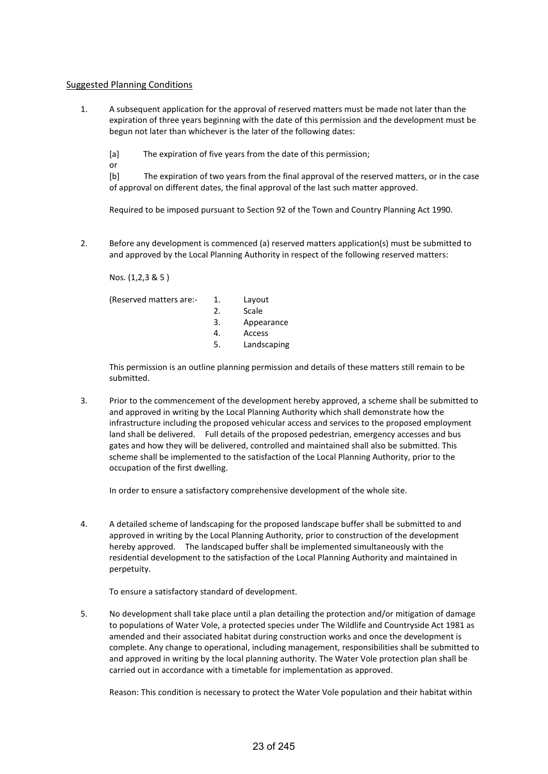## Suggested Planning Conditions

1. A subsequent application for the approval of reserved matters must be made not later than the expiration of three years beginning with the date of this permission and the development must be begun not later than whichever is the later of the following dates:

[a] The expiration of five years from the date of this permission;

or

[b] The expiration of two years from the final approval of the reserved matters, or in the case of approval on different dates, the final approval of the last such matter approved.

Required to be imposed pursuant to Section 92 of the Town and Country Planning Act 1990.

2. Before any development is commenced (a) reserved matters application(s) must be submitted to and approved by the Local Planning Authority in respect of the following reserved matters:

Nos. (1,2,3 & 5 )

| (Reserved matters are:- | 1. | Layout      |
|-------------------------|----|-------------|
|                         | 2. | Scale       |
|                         | 3. | Appearance  |
|                         | 4. | Access      |
|                         | 5. | Landscaping |
|                         |    |             |

This permission is an outline planning permission and details of these matters still remain to be submitted.

3. Prior to the commencement of the development hereby approved, a scheme shall be submitted to and approved in writing by the Local Planning Authority which shall demonstrate how the infrastructure including the proposed vehicular access and services to the proposed employment land shall be delivered. Full details of the proposed pedestrian, emergency accesses and bus gates and how they will be delivered, controlled and maintained shall also be submitted. This scheme shall be implemented to the satisfaction of the Local Planning Authority, prior to the occupation of the first dwelling.

In order to ensure a satisfactory comprehensive development of the whole site.

4. A detailed scheme of landscaping for the proposed landscape buffer shall be submitted to and approved in writing by the Local Planning Authority, prior to construction of the development hereby approved. The landscaped buffer shall be implemented simultaneously with the residential development to the satisfaction of the Local Planning Authority and maintained in perpetuity.

To ensure a satisfactory standard of development.

5. No development shall take place until a plan detailing the protection and/or mitigation of damage to populations of Water Vole, a protected species under The Wildlife and Countryside Act 1981 as amended and their associated habitat during construction works and once the development is complete. Any change to operational, including management, responsibilities shall be submitted to and approved in writing by the local planning authority. The Water Vole protection plan shall be carried out in accordance with a timetable for implementation as approved.

Reason: This condition is necessary to protect the Water Vole population and their habitat within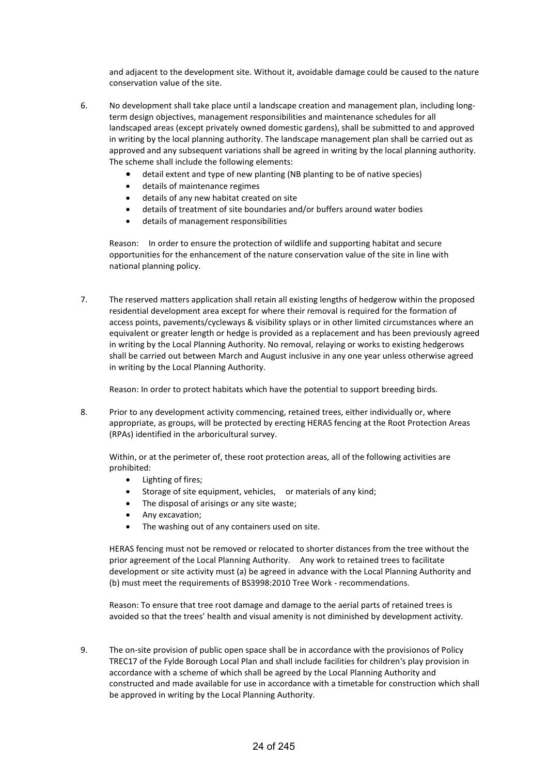and adjacent to the development site. Without it, avoidable damage could be caused to the nature conservation value of the site.

- 6. No development shall take place until a landscape creation and management plan, including longterm design objectives, management responsibilities and maintenance schedules for all landscaped areas (except privately owned domestic gardens), shall be submitted to and approved in writing by the local planning authority. The landscape management plan shall be carried out as approved and any subsequent variations shall be agreed in writing by the local planning authority. The scheme shall include the following elements:
	- detail extent and type of new planting (NB planting to be of native species)
	- details of maintenance regimes
	- details of any new habitat created on site
	- details of treatment of site boundaries and/or buffers around water bodies
	- details of management responsibilities

Reason: In order to ensure the protection of wildlife and supporting habitat and secure opportunities for the enhancement of the nature conservation value of the site in line with national planning policy.

7. The reserved matters application shall retain all existing lengths of hedgerow within the proposed residential development area except for where their removal is required for the formation of access points, pavements/cycleways & visibility splays or in other limited circumstances where an equivalent or greater length or hedge is provided as a replacement and has been previously agreed in writing by the Local Planning Authority. No removal, relaying or works to existing hedgerows shall be carried out between March and August inclusive in any one year unless otherwise agreed in writing by the Local Planning Authority.

Reason: In order to protect habitats which have the potential to support breeding birds.

8. Prior to any development activity commencing, retained trees, either individually or, where appropriate, as groups, will be protected by erecting HERAS fencing at the Root Protection Areas (RPAs) identified in the arboricultural survey.

Within, or at the perimeter of, these root protection areas, all of the following activities are prohibited:

- Lighting of fires;
- Storage of site equipment, vehicles, or materials of any kind;
- The disposal of arisings or any site waste;
- Any excavation;
- The washing out of any containers used on site.

HERAS fencing must not be removed or relocated to shorter distances from the tree without the prior agreement of the Local Planning Authority. Any work to retained trees to facilitate development or site activity must (a) be agreed in advance with the Local Planning Authority and (b) must meet the requirements of BS3998:2010 Tree Work - recommendations.

Reason: To ensure that tree root damage and damage to the aerial parts of retained trees is avoided so that the trees' health and visual amenity is not diminished by development activity.

9. The on-site provision of public open space shall be in accordance with the provisionos of Policy TREC17 of the Fylde Borough Local Plan and shall include facilities for children's play provision in accordance with a scheme of which shall be agreed by the Local Planning Authority and constructed and made available for use in accordance with a timetable for construction which shall be approved in writing by the Local Planning Authority.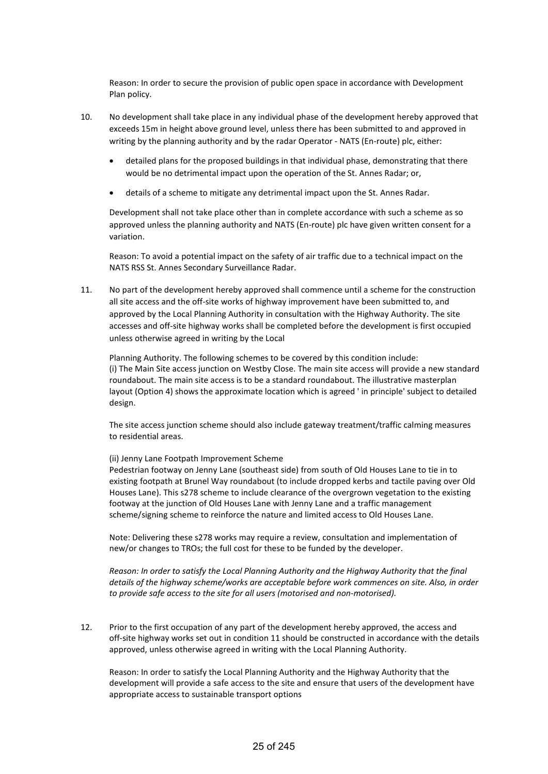Reason: In order to secure the provision of public open space in accordance with Development Plan policy.

- 10. No development shall take place in any individual phase of the development hereby approved that exceeds 15m in height above ground level, unless there has been submitted to and approved in writing by the planning authority and by the radar Operator - NATS (En-route) plc, either:
	- detailed plans for the proposed buildings in that individual phase, demonstrating that there would be no detrimental impact upon the operation of the St. Annes Radar; or,
	- details of a scheme to mitigate any detrimental impact upon the St. Annes Radar.

Development shall not take place other than in complete accordance with such a scheme as so approved unless the planning authority and NATS (En-route) plc have given written consent for a variation.

Reason: To avoid a potential impact on the safety of air traffic due to a technical impact on the NATS RSS St. Annes Secondary Surveillance Radar.

11. No part of the development hereby approved shall commence until a scheme for the construction all site access and the off-site works of highway improvement have been submitted to, and approved by the Local Planning Authority in consultation with the Highway Authority. The site accesses and off-site highway works shall be completed before the development is first occupied unless otherwise agreed in writing by the Local

Planning Authority. The following schemes to be covered by this condition include: (i) The Main Site access junction on Westby Close. The main site access will provide a new standard roundabout. The main site access is to be a standard roundabout. The illustrative masterplan layout (Option 4) shows the approximate location which is agreed ' in principle' subject to detailed design.

The site access junction scheme should also include gateway treatment/traffic calming measures to residential areas.

(ii) Jenny Lane Footpath Improvement Scheme

Pedestrian footway on Jenny Lane (southeast side) from south of Old Houses Lane to tie in to existing footpath at Brunel Way roundabout (to include dropped kerbs and tactile paving over Old Houses Lane). This s278 scheme to include clearance of the overgrown vegetation to the existing footway at the junction of Old Houses Lane with Jenny Lane and a traffic management scheme/signing scheme to reinforce the nature and limited access to Old Houses Lane.

Note: Delivering these s278 works may require a review, consultation and implementation of new/or changes to TROs; the full cost for these to be funded by the developer.

*Reason: In order to satisfy the Local Planning Authority and the Highway Authority that the final details of the highway scheme/works are acceptable before work commences on site. Also, in order to provide safe access to the site for all users (motorised and non-motorised).*

12. Prior to the first occupation of any part of the development hereby approved, the access and off-site highway works set out in condition 11 should be constructed in accordance with the details approved, unless otherwise agreed in writing with the Local Planning Authority.

Reason: In order to satisfy the Local Planning Authority and the Highway Authority that the development will provide a safe access to the site and ensure that users of the development have appropriate access to sustainable transport options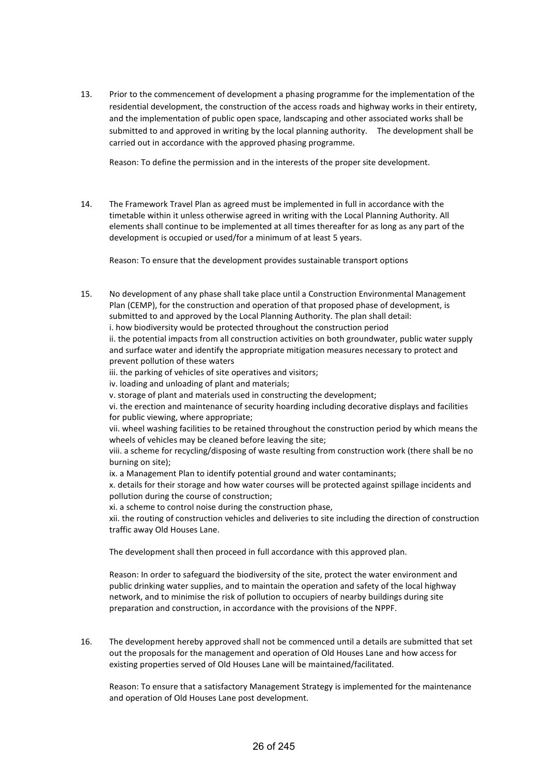13. Prior to the commencement of development a phasing programme for the implementation of the residential development, the construction of the access roads and highway works in their entirety, and the implementation of public open space, landscaping and other associated works shall be submitted to and approved in writing by the local planning authority. The development shall be carried out in accordance with the approved phasing programme.

Reason: To define the permission and in the interests of the proper site development.

14. The Framework Travel Plan as agreed must be implemented in full in accordance with the timetable within it unless otherwise agreed in writing with the Local Planning Authority. All elements shall continue to be implemented at all times thereafter for as long as any part of the development is occupied or used/for a minimum of at least 5 years.

Reason: To ensure that the development provides sustainable transport options

15. No development of any phase shall take place until a Construction Environmental Management Plan (CEMP), for the construction and operation of that proposed phase of development, is submitted to and approved by the Local Planning Authority. The plan shall detail: i. how biodiversity would be protected throughout the construction period ii. the potential impacts from all construction activities on both groundwater, public water supply and surface water and identify the appropriate mitigation measures necessary to protect and prevent pollution of these waters iii. the parking of vehicles of site operatives and visitors; iv. loading and unloading of plant and materials; v. storage of plant and materials used in constructing the development; vi. the erection and maintenance of security hoarding including decorative displays and facilities for public viewing, where appropriate; vii. wheel washing facilities to be retained throughout the construction period by which means the wheels of vehicles may be cleaned before leaving the site; viii. a scheme for recycling/disposing of waste resulting from construction work (there shall be no burning on site);

ix. a Management Plan to identify potential ground and water contaminants;

x. details for their storage and how water courses will be protected against spillage incidents and pollution during the course of construction;

xi. a scheme to control noise during the construction phase,

xii. the routing of construction vehicles and deliveries to site including the direction of construction traffic away Old Houses Lane.

The development shall then proceed in full accordance with this approved plan.

Reason: In order to safeguard the biodiversity of the site, protect the water environment and public drinking water supplies, and to maintain the operation and safety of the local highway network, and to minimise the risk of pollution to occupiers of nearby buildings during site preparation and construction, in accordance with the provisions of the NPPF.

16. The development hereby approved shall not be commenced until a details are submitted that set out the proposals for the management and operation of Old Houses Lane and how access for existing properties served of Old Houses Lane will be maintained/facilitated.

Reason: To ensure that a satisfactory Management Strategy is implemented for the maintenance and operation of Old Houses Lane post development.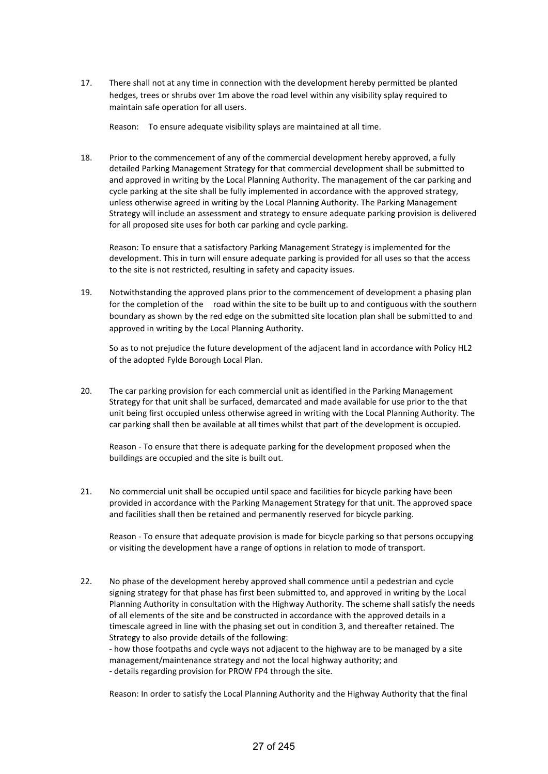17. There shall not at any time in connection with the development hereby permitted be planted hedges, trees or shrubs over 1m above the road level within any visibility splay required to maintain safe operation for all users.

Reason: To ensure adequate visibility splays are maintained at all time.

18. Prior to the commencement of any of the commercial development hereby approved, a fully detailed Parking Management Strategy for that commercial development shall be submitted to and approved in writing by the Local Planning Authority. The management of the car parking and cycle parking at the site shall be fully implemented in accordance with the approved strategy, unless otherwise agreed in writing by the Local Planning Authority. The Parking Management Strategy will include an assessment and strategy to ensure adequate parking provision is delivered for all proposed site uses for both car parking and cycle parking.

Reason: To ensure that a satisfactory Parking Management Strategy is implemented for the development. This in turn will ensure adequate parking is provided for all uses so that the access to the site is not restricted, resulting in safety and capacity issues.

19. Notwithstanding the approved plans prior to the commencement of development a phasing plan for the completion of the road within the site to be built up to and contiguous with the southern boundary as shown by the red edge on the submitted site location plan shall be submitted to and approved in writing by the Local Planning Authority.

So as to not prejudice the future development of the adjacent land in accordance with Policy HL2 of the adopted Fylde Borough Local Plan.

20. The car parking provision for each commercial unit as identified in the Parking Management Strategy for that unit shall be surfaced, demarcated and made available for use prior to the that unit being first occupied unless otherwise agreed in writing with the Local Planning Authority. The car parking shall then be available at all times whilst that part of the development is occupied.

Reason - To ensure that there is adequate parking for the development proposed when the buildings are occupied and the site is built out.

21. No commercial unit shall be occupied until space and facilities for bicycle parking have been provided in accordance with the Parking Management Strategy for that unit. The approved space and facilities shall then be retained and permanently reserved for bicycle parking.

Reason - To ensure that adequate provision is made for bicycle parking so that persons occupying or visiting the development have a range of options in relation to mode of transport.

- 22. No phase of the development hereby approved shall commence until a pedestrian and cycle signing strategy for that phase has first been submitted to, and approved in writing by the Local Planning Authority in consultation with the Highway Authority. The scheme shall satisfy the needs of all elements of the site and be constructed in accordance with the approved details in a timescale agreed in line with the phasing set out in condition 3, and thereafter retained. The Strategy to also provide details of the following: - how those footpaths and cycle ways not adjacent to the highway are to be managed by a site management/maintenance strategy and not the local highway authority; and
	- details regarding provision for PROW FP4 through the site.

Reason: In order to satisfy the Local Planning Authority and the Highway Authority that the final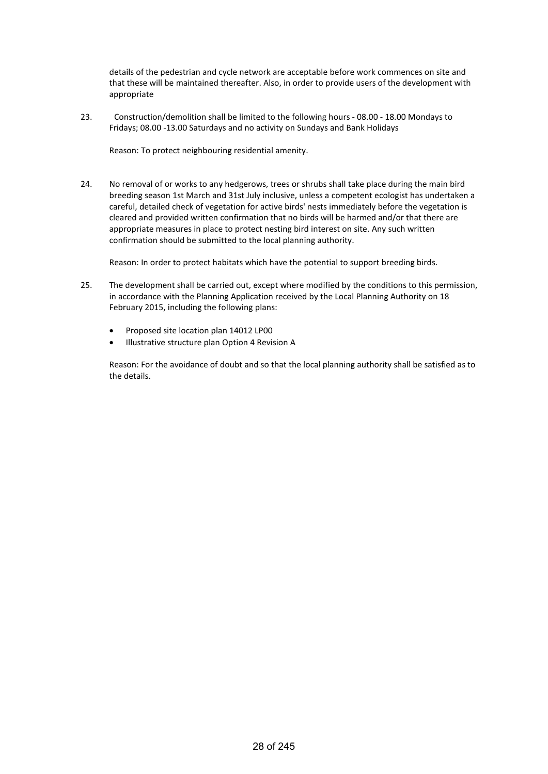details of the pedestrian and cycle network are acceptable before work commences on site and that these will be maintained thereafter. Also, in order to provide users of the development with appropriate

23. Construction/demolition shall be limited to the following hours - 08.00 - 18.00 Mondays to Fridays; 08.00 -13.00 Saturdays and no activity on Sundays and Bank Holidays

Reason: To protect neighbouring residential amenity.

24. No removal of or works to any hedgerows, trees or shrubs shall take place during the main bird breeding season 1st March and 31st July inclusive, unless a competent ecologist has undertaken a careful, detailed check of vegetation for active birds' nests immediately before the vegetation is cleared and provided written confirmation that no birds will be harmed and/or that there are appropriate measures in place to protect nesting bird interest on site. Any such written confirmation should be submitted to the local planning authority.

Reason: In order to protect habitats which have the potential to support breeding birds.

- 25. The development shall be carried out, except where modified by the conditions to this permission, in accordance with the Planning Application received by the Local Planning Authority on 18 February 2015, including the following plans:
	- Proposed site location plan 14012 LP00
	- Illustrative structure plan Option 4 Revision A

Reason: For the avoidance of doubt and so that the local planning authority shall be satisfied as to the details.